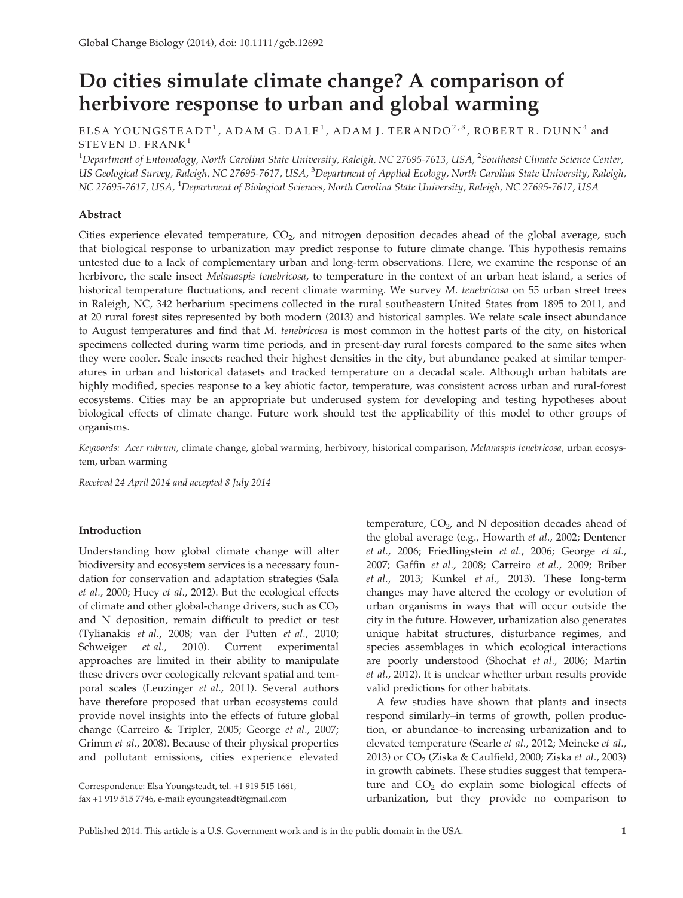# Do cities simulate climate change? A comparison of herbivore response to urban and global warming

# ELSA YOUNGSTEADT<sup>1</sup>, ADAM G. DALE<sup>1</sup>, ADAM J. TERANDO<sup>2,3</sup>, ROBERT R. DUNN<sup>4</sup> and STEVEN D. FRANK<sup>1</sup>

 $^{\rm 1}$ Department of Entomology, North Carolina State University, Raleigh, NC 27695-7613, USA,  $^{\rm 2}$ Southeast Climate Science Center, US Geological Survey, Raleigh, NC 27695-7617, USA, <sup>3</sup>Department of Applied Ecology, North Carolina State University, Raleigh, NC 27695-7617, USA, <sup>4</sup>Department of Biological Sciences, North Carolina State University, Raleigh, NC 27695-7617, USA

# Abstract

Cities experience elevated temperature,  $CO<sub>2</sub>$ , and nitrogen deposition decades ahead of the global average, such that biological response to urbanization may predict response to future climate change. This hypothesis remains untested due to a lack of complementary urban and long-term observations. Here, we examine the response of an herbivore, the scale insect Melanaspis tenebricosa, to temperature in the context of an urban heat island, a series of historical temperature fluctuations, and recent climate warming. We survey M. tenebricosa on 55 urban street trees in Raleigh, NC, 342 herbarium specimens collected in the rural southeastern United States from 1895 to 2011, and at 20 rural forest sites represented by both modern (2013) and historical samples. We relate scale insect abundance to August temperatures and find that M. tenebricosa is most common in the hottest parts of the city, on historical specimens collected during warm time periods, and in present-day rural forests compared to the same sites when they were cooler. Scale insects reached their highest densities in the city, but abundance peaked at similar temperatures in urban and historical datasets and tracked temperature on a decadal scale. Although urban habitats are highly modified, species response to a key abiotic factor, temperature, was consistent across urban and rural-forest ecosystems. Cities may be an appropriate but underused system for developing and testing hypotheses about biological effects of climate change. Future work should test the applicability of this model to other groups of organisms.

Keywords: Acer rubrum, climate change, global warming, herbivory, historical comparison, Melanaspis tenebricosa, urban ecosystem, urban warming

Received 24 April 2014 and accepted 8 July 2014

# Introduction

Understanding how global climate change will alter biodiversity and ecosystem services is a necessary foundation for conservation and adaptation strategies (Sala et al., 2000; Huey et al., 2012). But the ecological effects of climate and other global-change drivers, such as  $CO<sub>2</sub>$ and N deposition, remain difficult to predict or test (Tylianakis et al., 2008; van der Putten et al., 2010; Schweiger et al., 2010). Current experimental approaches are limited in their ability to manipulate these drivers over ecologically relevant spatial and temporal scales (Leuzinger et al., 2011). Several authors have therefore proposed that urban ecosystems could provide novel insights into the effects of future global change (Carreiro & Tripler, 2005; George et al., 2007; Grimm et al., 2008). Because of their physical properties and pollutant emissions, cities experience elevated

Correspondence: Elsa Youngsteadt, tel. +1 919 515 1661, fax +1 919 515 7746, e-mail: eyoungsteadt@gmail.com

temperature,  $CO<sub>2</sub>$ , and N deposition decades ahead of the global average (e.g., Howarth et al., 2002; Dentener et al., 2006; Friedlingstein et al., 2006; George et al., 2007; Gaffin et al., 2008; Carreiro et al., 2009; Briber et al., 2013; Kunkel et al., 2013). These long-term changes may have altered the ecology or evolution of urban organisms in ways that will occur outside the city in the future. However, urbanization also generates unique habitat structures, disturbance regimes, and species assemblages in which ecological interactions are poorly understood (Shochat et al., 2006; Martin et al., 2012). It is unclear whether urban results provide valid predictions for other habitats.

A few studies have shown that plants and insects respond similarly–in terms of growth, pollen production, or abundance–to increasing urbanization and to elevated temperature (Searle et al., 2012; Meineke et al., 2013) or  $CO<sub>2</sub>$  (Ziska & Caulfield, 2000; Ziska *et al.*, 2003) in growth cabinets. These studies suggest that temperature and  $CO<sub>2</sub>$  do explain some biological effects of urbanization, but they provide no comparison to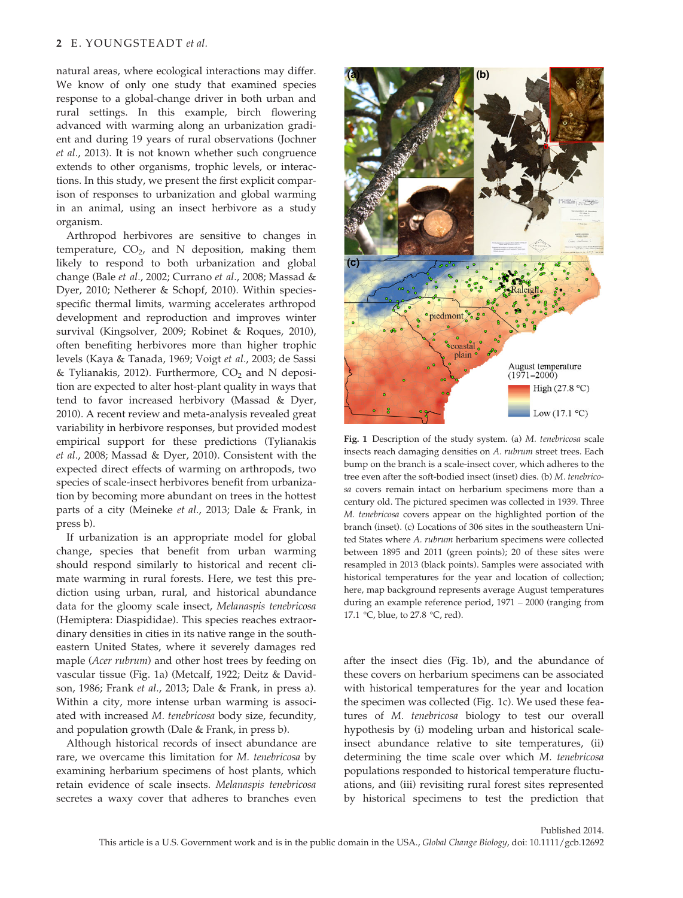natural areas, where ecological interactions may differ. We know of only one study that examined species response to a global-change driver in both urban and rural settings. In this example, birch flowering advanced with warming along an urbanization gradient and during 19 years of rural observations (Jochner et al., 2013). It is not known whether such congruence extends to other organisms, trophic levels, or interactions. In this study, we present the first explicit comparison of responses to urbanization and global warming in an animal, using an insect herbivore as a study organism.

Arthropod herbivores are sensitive to changes in temperature,  $CO<sub>2</sub>$ , and N deposition, making them likely to respond to both urbanization and global change (Bale et al., 2002; Currano et al., 2008; Massad & Dyer, 2010; Netherer & Schopf, 2010). Within speciesspecific thermal limits, warming accelerates arthropod development and reproduction and improves winter survival (Kingsolver, 2009; Robinet & Roques, 2010), often benefiting herbivores more than higher trophic levels (Kaya & Tanada, 1969; Voigt et al., 2003; de Sassi & Tylianakis, 2012). Furthermore,  $CO<sub>2</sub>$  and N deposition are expected to alter host-plant quality in ways that tend to favor increased herbivory (Massad & Dyer, 2010). A recent review and meta-analysis revealed great variability in herbivore responses, but provided modest empirical support for these predictions (Tylianakis et al., 2008; Massad & Dyer, 2010). Consistent with the expected direct effects of warming on arthropods, two species of scale-insect herbivores benefit from urbanization by becoming more abundant on trees in the hottest parts of a city (Meineke et al., 2013; Dale & Frank, in press b).

If urbanization is an appropriate model for global change, species that benefit from urban warming should respond similarly to historical and recent climate warming in rural forests. Here, we test this prediction using urban, rural, and historical abundance data for the gloomy scale insect, Melanaspis tenebricosa (Hemiptera: Diaspididae). This species reaches extraordinary densities in cities in its native range in the southeastern United States, where it severely damages red maple (Acer rubrum) and other host trees by feeding on vascular tissue (Fig. 1a) (Metcalf, 1922; Deitz & Davidson, 1986; Frank et al., 2013; Dale & Frank, in press a). Within a city, more intense urban warming is associated with increased M. tenebricosa body size, fecundity, and population growth (Dale & Frank, in press b).

Although historical records of insect abundance are rare, we overcame this limitation for M. tenebricosa by examining herbarium specimens of host plants, which retain evidence of scale insects. Melanaspis tenebricosa secretes a waxy cover that adheres to branches even



Fig. 1 Description of the study system. (a) M. tenebricosa scale insects reach damaging densities on A. rubrum street trees. Each bump on the branch is a scale-insect cover, which adheres to the tree even after the soft-bodied insect (inset) dies. (b) M. tenebricosa covers remain intact on herbarium specimens more than a century old. The pictured specimen was collected in 1939. Three M. tenebricosa covers appear on the highlighted portion of the branch (inset). (c) Locations of 306 sites in the southeastern United States where A. rubrum herbarium specimens were collected between 1895 and 2011 (green points); 20 of these sites were resampled in 2013 (black points). Samples were associated with historical temperatures for the year and location of collection; here, map background represents average August temperatures during an example reference period, 1971 – 2000 (ranging from 17.1 °C, blue, to 27.8 °C, red).

after the insect dies (Fig. 1b), and the abundance of these covers on herbarium specimens can be associated with historical temperatures for the year and location the specimen was collected (Fig. 1c). We used these features of M. tenebricosa biology to test our overall hypothesis by (i) modeling urban and historical scaleinsect abundance relative to site temperatures, (ii) determining the time scale over which M. tenebricosa populations responded to historical temperature fluctuations, and (iii) revisiting rural forest sites represented by historical specimens to test the prediction that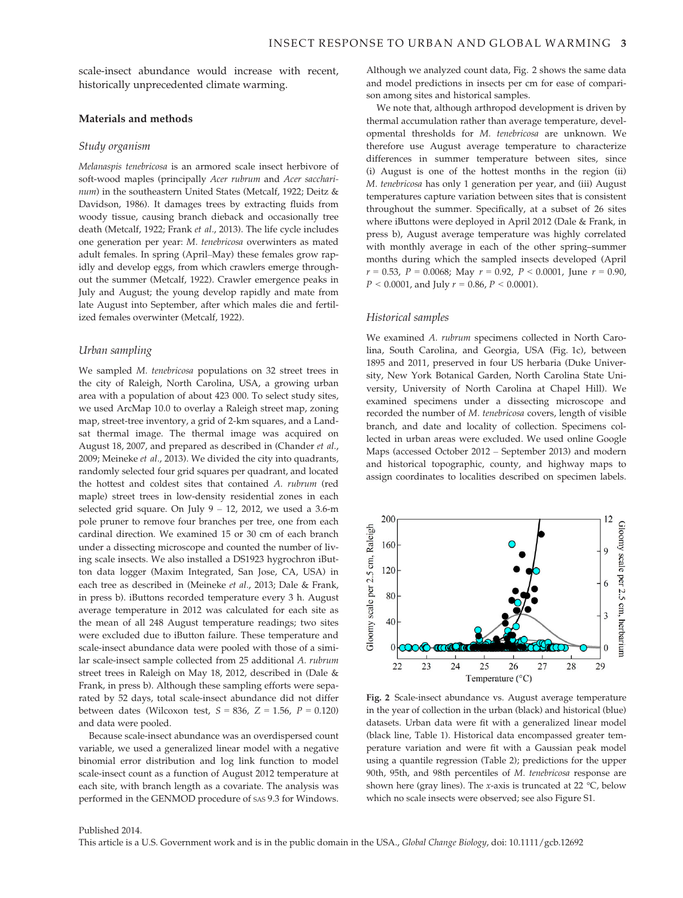scale-insect abundance would increase with recent, historically unprecedented climate warming.

### Materials and methods

#### Study organism

Melanaspis tenebricosa is an armored scale insect herbivore of soft-wood maples (principally Acer rubrum and Acer saccharinum) in the southeastern United States (Metcalf, 1922; Deitz & Davidson, 1986). It damages trees by extracting fluids from woody tissue, causing branch dieback and occasionally tree death (Metcalf, 1922; Frank et al., 2013). The life cycle includes one generation per year: M. tenebricosa overwinters as mated adult females. In spring (April–May) these females grow rapidly and develop eggs, from which crawlers emerge throughout the summer (Metcalf, 1922). Crawler emergence peaks in July and August; the young develop rapidly and mate from late August into September, after which males die and fertilized females overwinter (Metcalf, 1922).

## Urban sampling

We sampled M. tenebricosa populations on 32 street trees in the city of Raleigh, North Carolina, USA, a growing urban area with a population of about 423 000. To select study sites, we used ArcMap 10.0 to overlay a Raleigh street map, zoning map, street-tree inventory, a grid of 2-km squares, and a Landsat thermal image. The thermal image was acquired on August 18, 2007, and prepared as described in (Chander et al., 2009; Meineke et al., 2013). We divided the city into quadrants, randomly selected four grid squares per quadrant, and located the hottest and coldest sites that contained A. rubrum (red maple) street trees in low-density residential zones in each selected grid square. On July 9 – 12, 2012, we used a 3.6-m pole pruner to remove four branches per tree, one from each cardinal direction. We examined 15 or 30 cm of each branch under a dissecting microscope and counted the number of living scale insects. We also installed a DS1923 hygrochron iButton data logger (Maxim Integrated, San Jose, CA, USA) in each tree as described in (Meineke et al., 2013; Dale & Frank, in press b). iButtons recorded temperature every 3 h. August average temperature in 2012 was calculated for each site as the mean of all 248 August temperature readings; two sites were excluded due to iButton failure. These temperature and scale-insect abundance data were pooled with those of a similar scale-insect sample collected from 25 additional A. rubrum street trees in Raleigh on May 18, 2012, described in (Dale & Frank, in press b). Although these sampling efforts were separated by 52 days, total scale-insect abundance did not differ between dates (Wilcoxon test,  $S = 836$ ,  $Z = 1.56$ ,  $P = 0.120$ ) and data were pooled.

Because scale-insect abundance was an overdispersed count variable, we used a generalized linear model with a negative binomial error distribution and log link function to model scale-insect count as a function of August 2012 temperature at each site, with branch length as a covariate. The analysis was performed in the GENMOD procedure of SAS 9.3 for Windows.

Although we analyzed count data, Fig. 2 shows the same data and model predictions in insects per cm for ease of comparison among sites and historical samples.

We note that, although arthropod development is driven by thermal accumulation rather than average temperature, developmental thresholds for M. tenebricosa are unknown. We therefore use August average temperature to characterize differences in summer temperature between sites, since (i) August is one of the hottest months in the region (ii) M. tenebricosa has only 1 generation per year, and (iii) August temperatures capture variation between sites that is consistent throughout the summer. Specifically, at a subset of 26 sites where iButtons were deployed in April 2012 (Dale & Frank, in press b), August average temperature was highly correlated with monthly average in each of the other spring–summer months during which the sampled insects developed (April  $r = 0.53$ ,  $P = 0.0068$ ; May  $r = 0.92$ ,  $P < 0.0001$ , June  $r = 0.90$ ,  $P < 0.0001$ , and July  $r = 0.86$ ,  $P < 0.0001$ ).

#### Historical samples

We examined A. rubrum specimens collected in North Carolina, South Carolina, and Georgia, USA (Fig. 1c), between 1895 and 2011, preserved in four US herbaria (Duke University, New York Botanical Garden, North Carolina State University, University of North Carolina at Chapel Hill). We examined specimens under a dissecting microscope and recorded the number of M. tenebricosa covers, length of visible branch, and date and locality of collection. Specimens collected in urban areas were excluded. We used online Google Maps (accessed October 2012 – September 2013) and modern and historical topographic, county, and highway maps to assign coordinates to localities described on specimen labels.



Fig. 2 Scale-insect abundance vs. August average temperature in the year of collection in the urban (black) and historical (blue) datasets. Urban data were fit with a generalized linear model (black line, Table 1). Historical data encompassed greater temperature variation and were fit with a Gaussian peak model using a quantile regression (Table 2); predictions for the upper 90th, 95th, and 98th percentiles of M. tenebricosa response are shown here (gray lines). The x-axis is truncated at 22  $\degree$ C, below which no scale insects were observed; see also Figure S1.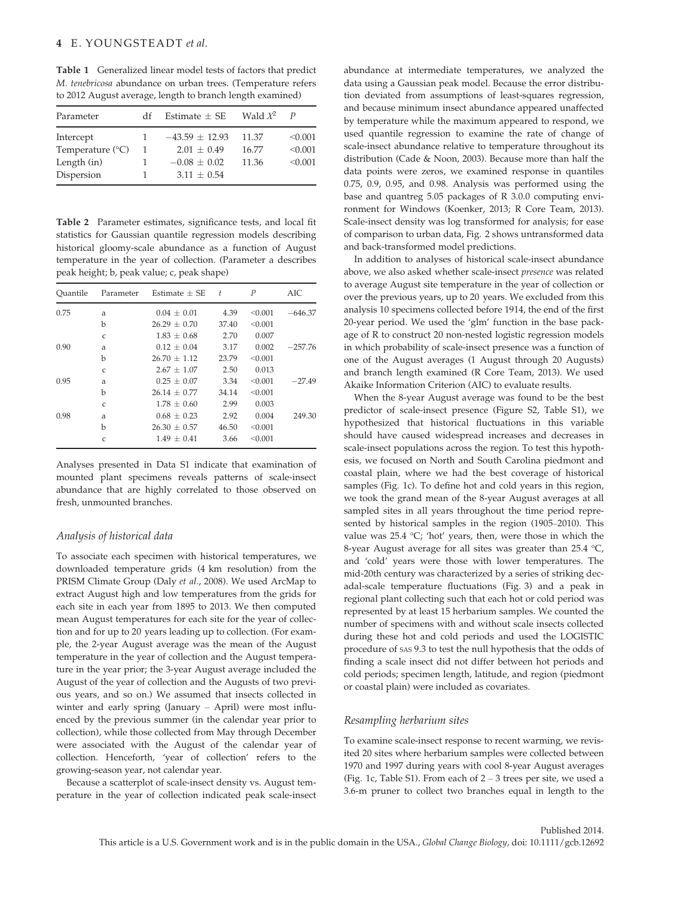Table 1 Generalized linear model tests of factors that predict M. tenebricosa abundance on urban trees. (Temperature refers to 2012 August average, length to branch length examined)

| Parameter                 | df | Estimate $\pm$ SE  | Wald $\chi^2$ | $\boldsymbol{p}$ |
|---------------------------|----|--------------------|---------------|------------------|
| Intercept                 |    | $-43.59 \pm 12.93$ | 11.37         | < 0.001          |
| Temperature $(^{\circ}C)$ |    | $2.01 + 0.49$      | 16.77         | < 0.001          |
| Length (in)               |    | $-0.08 \pm 0.02$   | 11.36         | < 0.001          |
| Dispersion                |    | $3.11 + 0.54$      |               |                  |

Table 2 Parameter estimates, significance tests, and local fit statistics for Gaussian quantile regression models describing historical gloomy-scale abundance as a function of August temperature in the year of collection. (Parameter a describes peak height; b, peak value; c, peak shape)

| Ouantile | Parameter | Estimate $+$ SE | $\pm$ | $\boldsymbol{P}$ | AIC.      |
|----------|-----------|-----------------|-------|------------------|-----------|
| 0.75     | a         | $0.04 \pm 0.01$ | 4.39  | < 0.001          | $-646.37$ |
|          | b         | $26.29 + 0.70$  | 37.40 | < 0.001          |           |
|          | C         | $1.83 + 0.68$   | 2.70  | 0.007            |           |
| 0.90     | a         | $0.12 + 0.04$   | 3.17  | 0.002            | $-257.76$ |
|          | b         | $26.70 + 1.12$  | 23.79 | < 0.001          |           |
|          | C         | $2.67 + 1.07$   | 2.50  | 0.013            |           |
| 0.95     | a         | $0.25 + 0.07$   | 3.34  | < 0.001          | $-27.49$  |
|          | b         | $26.14 + 0.77$  | 34.14 | < 0.001          |           |
|          | C         | $1.78 + 0.60$   | 2.99  | 0.003            |           |
| 0.98     | a         | $0.68 + 0.23$   | 2.92  | 0.004            | 249.30    |
|          | b         | $26.30 + 0.57$  | 46.50 | < 0.001          |           |
|          | C         | $1.49 \pm 0.41$ | 3.66  | < 0.001          |           |

Analyses presented in Data S1 indicate that examination of mounted plant specimens reveals patterns of scale-insect abundance that are highly correlated to those observed on fresh, unmounted branches.

#### Analysis of historical data

To associate each specimen with historical temperatures, we downloaded temperature grids (4 km resolution) from the PRISM Climate Group (Daly et al., 2008). We used ArcMap to extract August high and low temperatures from the grids for each site in each year from 1895 to 2013. We then computed mean August temperatures for each site for the year of collection and for up to 20 years leading up to collection. (For example, the 2-year August average was the mean of the August temperature in the year of collection and the August temperature in the year prior; the 3-year August average included the August of the year of collection and the Augusts of two previous years, and so on.) We assumed that insects collected in winter and early spring (January – April) were most influenced by the previous summer (in the calendar year prior to collection), while those collected from May through December were associated with the August of the calendar year of collection. Henceforth, 'year of collection' refers to the growing-season year, not calendar year.

Because a scatterplot of scale-insect density vs. August temperature in the year of collection indicated peak scale-insect abundance at intermediate temperatures, we analyzed the data using a Gaussian peak model. Because the error distribution deviated from assumptions of least-squares regression, and because minimum insect abundance appeared unaffected by temperature while the maximum appeared to respond, we used quantile regression to examine the rate of change of scale-insect abundance relative to temperature throughout its distribution (Cade & Noon, 2003). Because more than half the data points were zeros, we examined response in quantiles 0.75, 0.9, 0.95, and 0.98. Analysis was performed using the base and quantreg 5.05 packages of R 3.0.0 computing environment for Windows (Koenker, 2013; R Core Team, 2013). Scale-insect density was log transformed for analysis; for ease of comparison to urban data, Fig. 2 shows untransformed data and back-transformed model predictions.

In addition to analyses of historical scale-insect abundance above, we also asked whether scale-insect presence was related to average August site temperature in the year of collection or over the previous years, up to 20 years. We excluded from this analysis 10 specimens collected before 1914, the end of the first 20-year period. We used the 'glm' function in the base package of R to construct 20 non-nested logistic regression models in which probability of scale-insect presence was a function of one of the August averages (1 August through 20 Augusts) and branch length examined (R Core Team, 2013). We used Akaike Information Criterion (AIC) to evaluate results.

When the 8-year August average was found to be the best predictor of scale-insect presence (Figure S2, Table S1), we hypothesized that historical fluctuations in this variable should have caused widespread increases and decreases in scale-insect populations across the region. To test this hypothesis, we focused on North and South Carolina piedmont and coastal plain, where we had the best coverage of historical samples (Fig. 1c). To define hot and cold years in this region, we took the grand mean of the 8-year August averages at all sampled sites in all years throughout the time period represented by historical samples in the region (1905–2010). This value was 25.4 °C; 'hot' years, then, were those in which the 8-year August average for all sites was greater than 25.4 °C, and 'cold' years were those with lower temperatures. The mid-20th century was characterized by a series of striking decadal-scale temperature fluctuations (Fig. 3) and a peak in regional plant collecting such that each hot or cold period was represented by at least 15 herbarium samples. We counted the number of specimens with and without scale insects collected during these hot and cold periods and used the LOGISTIC procedure of SAS 9.3 to test the null hypothesis that the odds of finding a scale insect did not differ between hot periods and cold periods; specimen length, latitude, and region (piedmont or coastal plain) were included as covariates.

#### Resampling herbarium sites

To examine scale-insect response to recent warming, we revisited 20 sites where herbarium samples were collected between 1970 and 1997 during years with cool 8-year August averages (Fig. 1c, Table S1). From each of  $2 - 3$  trees per site, we used a 3.6-m pruner to collect two branches equal in length to the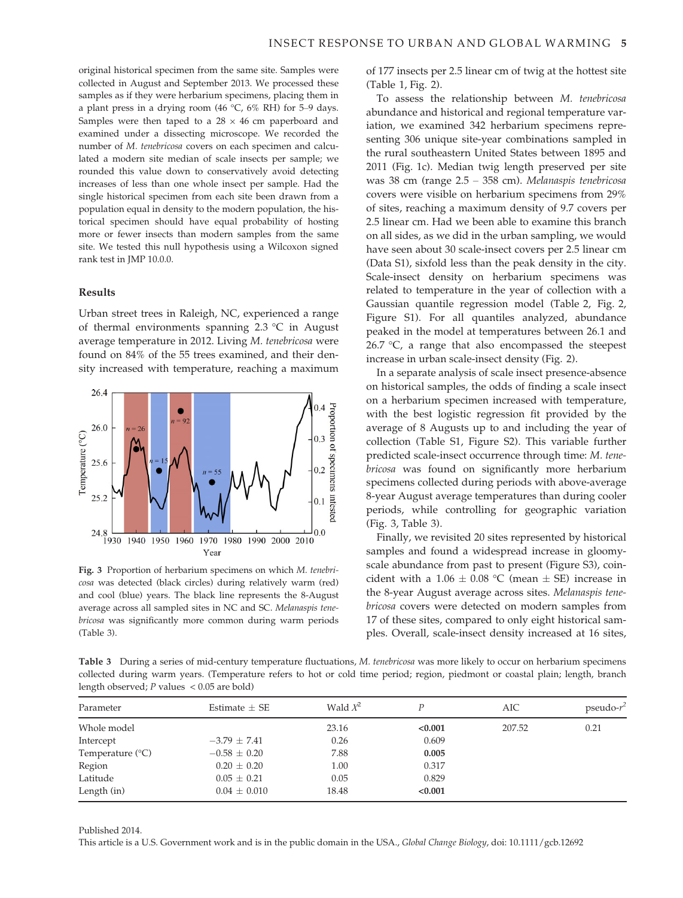original historical specimen from the same site. Samples were collected in August and September 2013. We processed these samples as if they were herbarium specimens, placing them in a plant press in a drying room (46 °C, 6% RH) for 5–9 days. Samples were then taped to a  $28 \times 46$  cm paperboard and examined under a dissecting microscope. We recorded the number of M. tenebricosa covers on each specimen and calculated a modern site median of scale insects per sample; we rounded this value down to conservatively avoid detecting increases of less than one whole insect per sample. Had the single historical specimen from each site been drawn from a population equal in density to the modern population, the historical specimen should have equal probability of hosting more or fewer insects than modern samples from the same site. We tested this null hypothesis using a Wilcoxon signed rank test in JMP 10.0.0.

## Results

Urban street trees in Raleigh, NC, experienced a range of thermal environments spanning 2.3 °C in August average temperature in 2012. Living M. tenebricosa were found on 84% of the 55 trees examined, and their density increased with temperature, reaching a maximum



Fig. 3 Proportion of herbarium specimens on which M. tenebricosa was detected (black circles) during relatively warm (red) and cool (blue) years. The black line represents the 8-August average across all sampled sites in NC and SC. Melanaspis tenebricosa was significantly more common during warm periods (Table 3).

of 177 insects per 2.5 linear cm of twig at the hottest site (Table 1, Fig. 2).

To assess the relationship between M. tenebricosa abundance and historical and regional temperature variation, we examined 342 herbarium specimens representing 306 unique site-year combinations sampled in the rural southeastern United States between 1895 and 2011 (Fig. 1c). Median twig length preserved per site was 38 cm (range 2.5 – 358 cm). Melanaspis tenebricosa covers were visible on herbarium specimens from 29% of sites, reaching a maximum density of 9.7 covers per 2.5 linear cm. Had we been able to examine this branch on all sides, as we did in the urban sampling, we would have seen about 30 scale-insect covers per 2.5 linear cm (Data S1), sixfold less than the peak density in the city. Scale-insect density on herbarium specimens was related to temperature in the year of collection with a Gaussian quantile regression model (Table 2, Fig. 2, Figure S1). For all quantiles analyzed, abundance peaked in the model at temperatures between 26.1 and 26.7  $\degree$ C, a range that also encompassed the steepest increase in urban scale-insect density (Fig. 2).

In a separate analysis of scale insect presence-absence on historical samples, the odds of finding a scale insect on a herbarium specimen increased with temperature, with the best logistic regression fit provided by the average of 8 Augusts up to and including the year of collection (Table S1, Figure S2). This variable further predicted scale-insect occurrence through time: M. tenebricosa was found on significantly more herbarium specimens collected during periods with above-average 8-year August average temperatures than during cooler periods, while controlling for geographic variation (Fig. 3, Table 3).

Finally, we revisited 20 sites represented by historical samples and found a widespread increase in gloomyscale abundance from past to present (Figure S3), coincident with a  $1.06 \pm 0.08$  °C (mean  $\pm$  SE) increase in the 8-year August average across sites. Melanaspis tenebricosa covers were detected on modern samples from 17 of these sites, compared to only eight historical samples. Overall, scale-insect density increased at 16 sites,

Table 3 During a series of mid-century temperature fluctuations, M. tenebricosa was more likely to occur on herbarium specimens collected during warm years. (Temperature refers to hot or cold time period; region, piedmont or coastal plain; length, branch length observed; P values < 0.05 are bold)

| Parameter                 | Estimate $\pm$ SE | Wald $X^2$ |         | AIC    | pseudo- $r^2$ |
|---------------------------|-------------------|------------|---------|--------|---------------|
| Whole model               |                   | 23.16      | < 0.001 | 207.52 | 0.21          |
| Intercept                 | $-3.79 \pm 7.41$  | 0.26       | 0.609   |        |               |
| Temperature $(^{\circ}C)$ | $-0.58 \pm 0.20$  | 7.88       | 0.005   |        |               |
| Region                    | $0.20 \pm 0.20$   | 1.00       | 0.317   |        |               |
| Latitude                  | $0.05 \pm 0.21$   | 0.05       | 0.829   |        |               |
| Length (in)               | $0.04 \pm 0.010$  | 18.48      | < 0.001 |        |               |

Published 2014.

This article is a U.S. Government work and is in the public domain in the USA., Global Change Biology, doi: 10.1111/gcb.12692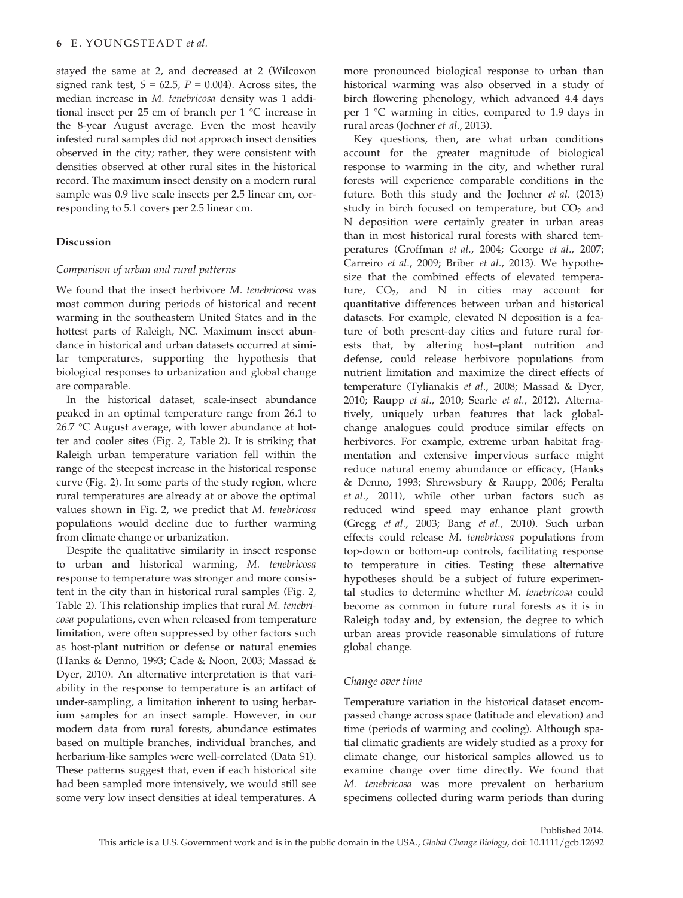stayed the same at 2, and decreased at 2 (Wilcoxon signed rank test,  $S = 62.5$ ,  $P = 0.004$ ). Across sites, the median increase in M. tenebricosa density was 1 additional insect per 25 cm of branch per 1 °C increase in the 8-year August average. Even the most heavily infested rural samples did not approach insect densities observed in the city; rather, they were consistent with densities observed at other rural sites in the historical record. The maximum insect density on a modern rural sample was 0.9 live scale insects per 2.5 linear cm, corresponding to 5.1 covers per 2.5 linear cm.

# Discussion

# Comparison of urban and rural patterns

We found that the insect herbivore M. tenebricosa was most common during periods of historical and recent warming in the southeastern United States and in the hottest parts of Raleigh, NC. Maximum insect abundance in historical and urban datasets occurred at similar temperatures, supporting the hypothesis that biological responses to urbanization and global change are comparable.

In the historical dataset, scale-insect abundance peaked in an optimal temperature range from 26.1 to 26.7 °C August average, with lower abundance at hotter and cooler sites (Fig. 2, Table 2). It is striking that Raleigh urban temperature variation fell within the range of the steepest increase in the historical response curve (Fig. 2). In some parts of the study region, where rural temperatures are already at or above the optimal values shown in Fig. 2, we predict that M. tenebricosa populations would decline due to further warming from climate change or urbanization.

Despite the qualitative similarity in insect response to urban and historical warming, M. tenebricosa response to temperature was stronger and more consistent in the city than in historical rural samples (Fig. 2, Table 2). This relationship implies that rural M. tenebricosa populations, even when released from temperature limitation, were often suppressed by other factors such as host-plant nutrition or defense or natural enemies (Hanks & Denno, 1993; Cade & Noon, 2003; Massad & Dyer, 2010). An alternative interpretation is that variability in the response to temperature is an artifact of under-sampling, a limitation inherent to using herbarium samples for an insect sample. However, in our modern data from rural forests, abundance estimates based on multiple branches, individual branches, and herbarium-like samples were well-correlated (Data S1). These patterns suggest that, even if each historical site had been sampled more intensively, we would still see some very low insect densities at ideal temperatures. A

more pronounced biological response to urban than historical warming was also observed in a study of birch flowering phenology, which advanced 4.4 days per 1 °C warming in cities, compared to 1.9 days in rural areas (Jochner et al., 2013).

Key questions, then, are what urban conditions account for the greater magnitude of biological response to warming in the city, and whether rural forests will experience comparable conditions in the future. Both this study and the Jochner et al. (2013) study in birch focused on temperature, but  $CO<sub>2</sub>$  and N deposition were certainly greater in urban areas than in most historical rural forests with shared temperatures (Groffman et al., 2004; George et al., 2007; Carreiro et al., 2009; Briber et al., 2013). We hypothesize that the combined effects of elevated temperature,  $CO<sub>2</sub>$ , and N in cities may account for quantitative differences between urban and historical datasets. For example, elevated N deposition is a feature of both present-day cities and future rural forests that, by altering host–plant nutrition and defense, could release herbivore populations from nutrient limitation and maximize the direct effects of temperature (Tylianakis et al., 2008; Massad & Dyer, 2010; Raupp et al., 2010; Searle et al., 2012). Alternatively, uniquely urban features that lack globalchange analogues could produce similar effects on herbivores. For example, extreme urban habitat fragmentation and extensive impervious surface might reduce natural enemy abundance or efficacy, (Hanks & Denno, 1993; Shrewsbury & Raupp, 2006; Peralta et al., 2011), while other urban factors such as reduced wind speed may enhance plant growth (Gregg et al., 2003; Bang et al., 2010). Such urban effects could release M. tenebricosa populations from top-down or bottom-up controls, facilitating response to temperature in cities. Testing these alternative hypotheses should be a subject of future experimental studies to determine whether M. tenebricosa could become as common in future rural forests as it is in Raleigh today and, by extension, the degree to which urban areas provide reasonable simulations of future global change.

# Change over time

Temperature variation in the historical dataset encompassed change across space (latitude and elevation) and time (periods of warming and cooling). Although spatial climatic gradients are widely studied as a proxy for climate change, our historical samples allowed us to examine change over time directly. We found that M. tenebricosa was more prevalent on herbarium specimens collected during warm periods than during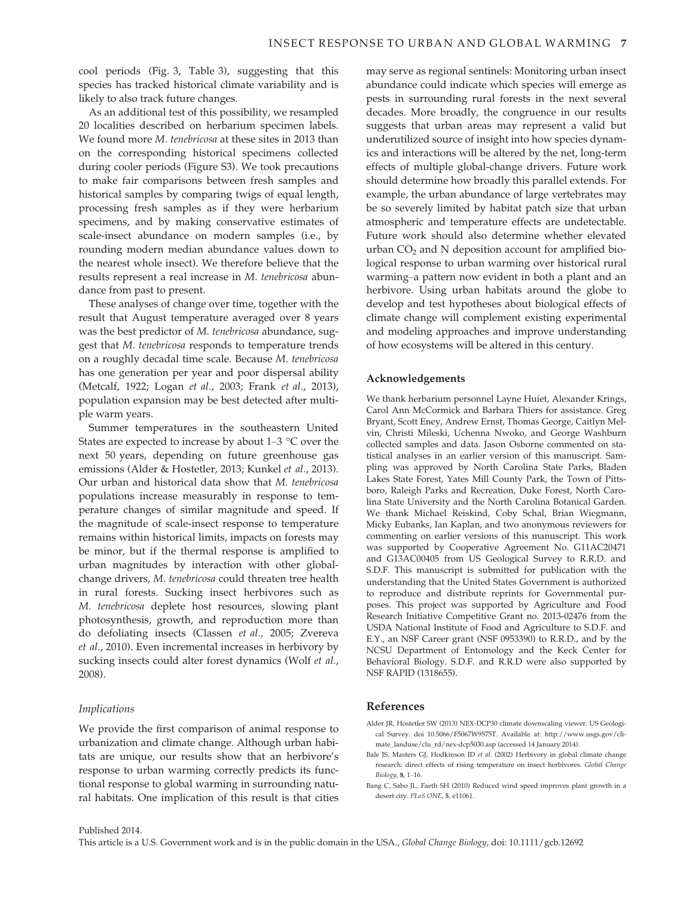cool periods (Fig. 3, Table 3), suggesting that this species has tracked historical climate variability and is likely to also track future changes.

As an additional test of this possibility, we resampled 20 localities described on herbarium specimen labels. We found more M. tenebricosa at these sites in 2013 than on the corresponding historical specimens collected during cooler periods (Figure S3). We took precautions to make fair comparisons between fresh samples and historical samples by comparing twigs of equal length, processing fresh samples as if they were herbarium specimens, and by making conservative estimates of scale-insect abundance on modern samples (i.e., by rounding modern median abundance values down to the nearest whole insect). We therefore believe that the results represent a real increase in M. tenebricosa abundance from past to present.

These analyses of change over time, together with the result that August temperature averaged over 8 years was the best predictor of M. tenebricosa abundance, suggest that M. tenebricosa responds to temperature trends on a roughly decadal time scale. Because M. tenebricosa has one generation per year and poor dispersal ability (Metcalf, 1922; Logan et al., 2003; Frank et al., 2013), population expansion may be best detected after multiple warm years.

Summer temperatures in the southeastern United States are expected to increase by about 1–3 °C over the next 50 years, depending on future greenhouse gas emissions (Alder & Hostetler, 2013; Kunkel et al., 2013). Our urban and historical data show that M. tenebricosa populations increase measurably in response to temperature changes of similar magnitude and speed. If the magnitude of scale-insect response to temperature remains within historical limits, impacts on forests may be minor, but if the thermal response is amplified to urban magnitudes by interaction with other globalchange drivers, M. tenebricosa could threaten tree health in rural forests. Sucking insect herbivores such as M. tenebricosa deplete host resources, slowing plant photosynthesis, growth, and reproduction more than do defoliating insects (Classen et al., 2005; Zvereva et al., 2010). Even incremental increases in herbivory by sucking insects could alter forest dynamics (Wolf et al., 2008).

### Implications

We provide the first comparison of animal response to urbanization and climate change. Although urban habitats are unique, our results show that an herbivore's response to urban warming correctly predicts its functional response to global warming in surrounding natural habitats. One implication of this result is that cities may serve as regional sentinels: Monitoring urban insect abundance could indicate which species will emerge as pests in surrounding rural forests in the next several decades. More broadly, the congruence in our results suggests that urban areas may represent a valid but underutilized source of insight into how species dynamics and interactions will be altered by the net, long-term effects of multiple global-change drivers. Future work should determine how broadly this parallel extends. For example, the urban abundance of large vertebrates may be so severely limited by habitat patch size that urban atmospheric and temperature effects are undetectable. Future work should also determine whether elevated urban  $CO<sub>2</sub>$  and N deposition account for amplified biological response to urban warming over historical rural warming–a pattern now evident in both a plant and an herbivore. Using urban habitats around the globe to develop and test hypotheses about biological effects of climate change will complement existing experimental and modeling approaches and improve understanding of how ecosystems will be altered in this century.

#### Acknowledgements

We thank herbarium personnel Layne Huiet, Alexander Krings, Carol Ann McCormick and Barbara Thiers for assistance. Greg Bryant, Scott Eney, Andrew Ernst, Thomas George, Caitlyn Melvin, Christi Mileski, Uchenna Nwoko, and George Washburn collected samples and data. Jason Osborne commented on statistical analyses in an earlier version of this manuscript. Sampling was approved by North Carolina State Parks, Bladen Lakes State Forest, Yates Mill County Park, the Town of Pittsboro, Raleigh Parks and Recreation, Duke Forest, North Carolina State University and the North Carolina Botanical Garden. We thank Michael Reiskind, Coby Schal, Brian Wiegmann, Micky Eubanks, Ian Kaplan, and two anonymous reviewers for commenting on earlier versions of this manuscript. This work was supported by Cooperative Agreement No. G11AC20471 and G13AC00405 from US Geological Survey to R.R.D. and S.D.F. This manuscript is submitted for publication with the understanding that the United States Government is authorized to reproduce and distribute reprints for Governmental purposes. This project was supported by Agriculture and Food Research Initiative Competitive Grant no. 2013-02476 from the USDA National Institute of Food and Agriculture to S.D.F. and E.Y., an NSF Career grant (NSF 0953390) to R.R.D., and by the NCSU Department of Entomology and the Keck Center for Behavioral Biology. S.D.F. and R.R.D were also supported by NSF RAPID (1318655).

## References

- Alder JR, Hostetler SW (2013) NEX-DCP30 climate downscaling viewer. US Geological Survey. doi 10.5066/F5067W9575T. Available at: http://www.usgs.gov/climate\_landuse/clu\_rd/nex-dcp5030.asp (accessed 14 January 2014).
- Bale JS, Masters GJ, Hodkinson ID et al. (2002) Herbivory in global climate change research: direct effects of rising temperature on insect herbivores. Global Change Biology, 8, 1–16.
- Bang C, Sabo JL, Faeth SH (2010) Reduced wind speed improves plant growth in a desert city. PLoS ONE, 5, e11061.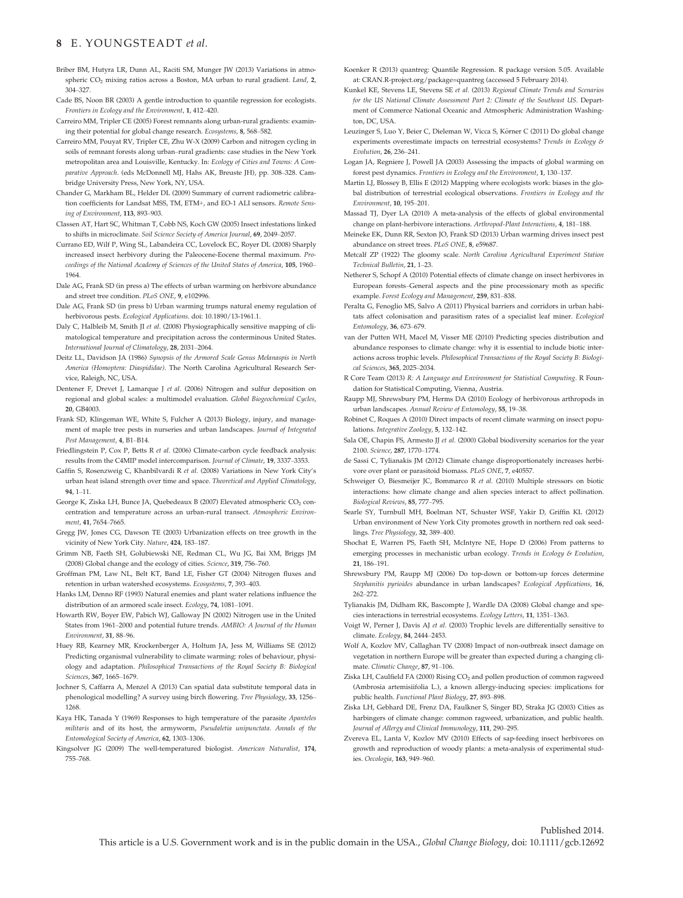## 8 E. YOUNGSTEADT et al.

- Briber BM, Hutyra LR, Dunn AL, Raciti SM, Munger JW (2013) Variations in atmospheric CO<sub>2</sub> mixing ratios across a Boston, MA urban to rural gradient. Land, 2, 304–327.
- Cade BS, Noon BR (2003) A gentle introduction to quantile regression for ecologists. Frontiers in Ecology and the Environment, 1, 412–420.
- Carreiro MM, Tripler CE (2005) Forest remnants along urban-rural gradients: examining their potential for global change research. Ecosystems, 8, 568–582.
- Carreiro MM, Pouyat RV, Tripler CE, Zhu W-X (2009) Carbon and nitrogen cycling in soils of remnant forests along urban–rural gradients: case studies in the New York metropolitan area and Louisville, Kentucky. In: Ecology of Cities and Towns: A Comparative Approach. (eds McDonnell MJ, Hahs AK, Breuste JH), pp. 308–328. Cambridge University Press, New York, NY, USA.
- Chander G, Markham BL, Helder DL (2009) Summary of current radiometric calibration coefficients for Landsat MSS, TM, ETM+, and EO-1 ALI sensors. Remote Sensing of Environment, 113, 893–903.
- Classen AT, Hart SC, Whitman T, Cobb NS, Koch GW (2005) Insect infestations linked to shifts in microclimate. Soil Science Society of America Journal, 69, 2049–2057.
- Currano ED, Wilf P, Wing SL, Labandeira CC, Lovelock EC, Royer DL (2008) Sharply increased insect herbivory during the Paleocene-Eocene thermal maximum. Proceedings of the National Academy of Sciences of the United States of America, 105, 1960– 1964.
- Dale AG, Frank SD (in press a) The effects of urban warming on herbivore abundance and street tree condition. PLoS ONE, 9, e102996.
- Dale AG, Frank SD (in press b) Urban warming trumps natural enemy regulation of herbivorous pests. Ecological Applications. doi: 10.1890/13-1961.1.
- Daly C, Halbleib M, Smith JI et al. (2008) Physiographically sensitive mapping of climatological temperature and precipitation across the conterminous United States. International Journal of Climatology, 28, 2031–2064.
- Deitz LL, Davidson JA (1986) Synopsis of the Armored Scale Genus Melanaspis in North America (Homoptera: Diaspididae). The North Carolina Agricultural Research Service, Raleigh, NC, USA.
- Dentener F, Drevet J, Lamarque J et al. (2006) Nitrogen and sulfur deposition on regional and global scales: a multimodel evaluation. Global Biogeochemical Cycles, 20, GB4003.
- Frank SD, Klingeman WE, White S, Fulcher A (2013) Biology, injury, and management of maple tree pests in nurseries and urban landscapes. Journal of Integrated Pest Management, 4, B1–B14.
- Friedlingstein P, Cox P, Betts R et al. (2006) Climate-carbon cycle feedback analysis: results from the C4MIP model intercomparison. Journal of Climate, 19, 3337-3353
- Gaffin S, Rosenzweig C, Khanbilvardi R et al. (2008) Variations in New York City's urban heat island strength over time and space. Theoretical and Applied Climatology, 94, 1–11.
- George K, Ziska LH, Bunce JA, Quebedeaux B (2007) Elevated atmospheric CO<sub>2</sub> concentration and temperature across an urban-rural transect. Atmospheric Environment, 41, 7654–7665.
- Gregg JW, Jones CG, Dawson TE (2003) Urbanization effects on tree growth in the vicinity of New York City. Nature, 424, 183–187.
- Grimm NB, Faeth SH, Golubiewski NE, Redman CL, Wu JG, Bai XM, Briggs JM (2008) Global change and the ecology of cities. Science, 319, 756–760.
- Groffman PM, Law NL, Belt KT, Band LE, Fisher GT (2004) Nitrogen fluxes and retention in urban watershed ecosystems. Ecosystems, 7, 393–403.
- Hanks LM, Denno RF (1993) Natural enemies and plant water relations influence the distribution of an armored scale insect. Ecology, 74, 1081–1091.
- Howarth RW, Boyer EW, Pabich WJ, Galloway JN (2002) Nitrogen use in the United States from 1961–2000 and potential future trends. AMBIO: A Journal of the Human Environment, 31, 88–96.
- Huey RB, Kearney MR, Krockenberger A, Holtum JA, Jess M, Williams SE (2012) Predicting organismal vulnerability to climate warming: roles of behaviour, physiology and adaptation. Philosophical Transactions of the Royal Society B: Biological Sciences, 367, 1665–1679.
- Jochner S, Caffarra A, Menzel A (2013) Can spatial data substitute temporal data in phenological modelling? A survey using birch flowering. Tree Physiology, 33, 1256– 1268.
- Kaya HK, Tanada Y (1969) Responses to high temperature of the parasite Apanteles militaris and of its host, the armyworm, Pseudaletia unipunctata. Annals of the Entomological Society of America, 62, 1303–1306.
- Kingsolver JG (2009) The well-temperatured biologist. American Naturalist, 174, 755–768.
- Koenker R (2013) quantreg: Quantile Regression. R package version 5.05. Available at: CRAN.R-project.org/package=quantreg (accessed 5 February 2014).
- Kunkel KE, Stevens LE, Stevens SE et al. (2013) Regional Climate Trends and Scenarios for the US National Climate Assessment Part 2: Climate of the Southeast US. Department of Commerce National Oceanic and Atmospheric Administration Washington, DC, USA.
- Leuzinger S, Luo Y, Beier C, Dieleman W, Vicca S, Körner C (2011) Do global change experiments overestimate impacts on terrestrial ecosystems? Trends in Ecology & Evolution, 26, 236–241.
- Logan JA, Regniere J, Powell JA (2003) Assessing the impacts of global warming on forest pest dynamics. Frontiers in Ecology and the Environment, 1, 130–137.
- Martin LJ, Blossey B, Ellis E (2012) Mapping where ecologists work: biases in the global distribution of terrestrial ecological observations. Frontiers in Ecology and the Environment, 10, 195–201.
- Massad TJ, Dyer LA (2010) A meta-analysis of the effects of global environmental change on plant-herbivore interactions. Arthropod-Plant Interactions, 4, 181–188.
- Meineke EK, Dunn RR, Sexton JO, Frank SD (2013) Urban warming drives insect pest abundance on street trees. PLoS ONE, 8, e59687.
- Metcalf ZP (1922) The gloomy scale. North Carolina Agricultural Experiment Station Technical Bulletin, 21, 1–23.
- Netherer S, Schopf A (2010) Potential effects of climate change on insect herbivores in European forests–General aspects and the pine processionary moth as specific example. Forest Ecology and Management, 259, 831–838.
- Peralta G, Fenoglio MS, Salvo A (2011) Physical barriers and corridors in urban habitats affect colonisation and parasitism rates of a specialist leaf miner. Ecological Entomology, 36, 673–679.
- van der Putten WH, Macel M, Visser ME (2010) Predicting species distribution and abundance responses to climate change: why it is essential to include biotic interactions across trophic levels. Philosophical Transactions of the Royal Society B: Biological Sciences, 365, 2025–2034.
- R Core Team (2013) R: A Language and Environment for Statistical Computing. R Foundation for Statistical Computing, Vienna, Austria.
- Raupp MJ, Shrewsbury PM, Herms DA (2010) Ecology of herbivorous arthropods in urban landscapes. Annual Review of Entomology, 55, 19–38.
- Robinet C, Roques A (2010) Direct impacts of recent climate warming on insect populations. Integrative Zoology, 5, 132–142.
- Sala OE, Chapin FS, Armesto JJ et al. (2000) Global biodiversity scenarios for the year 2100. Science, 287, 1770–1774.
- de Sassi C, Tylianakis JM (2012) Climate change disproportionately increases herbivore over plant or parasitoid biomass. PLoS ONE, 7, e40557.
- Schweiger O, Biesmeijer JC, Bommarco R et al. (2010) Multiple stressors on biotic interactions: how climate change and alien species interact to affect pollination. Biological Reviews, 85, 777–795.
- Searle SY, Turnbull MH, Boelman NT, Schuster WSF, Yakir D, Griffin KL (2012) Urban environment of New York City promotes growth in northern red oak seedlings. Tree Physiology, 32, 389–400.
- Shochat E, Warren PS, Faeth SH, McIntyre NE, Hope D (2006) From patterns to emerging processes in mechanistic urban ecology. Trends in Ecology & Evolution, 21, 186–191.
- Shrewsbury PM, Raupp MJ (2006) Do top-down or bottom-up forces determine Stephanitis pyrioides abundance in urban landscapes? Ecological Applications, 16, 262–272.
- Tylianakis JM, Didham RK, Bascompte J, Wardle DA (2008) Global change and species interactions in terrestrial ecosystems. Ecology Letters, 11, 1351–1363.
- Voigt W, Perner J, Davis AJ et al. (2003) Trophic levels are differentially sensitive to climate. Ecology, 84, 2444–2453.
- Wolf A, Kozlov MV, Callaghan TV (2008) Impact of non-outbreak insect damage on vegetation in northern Europe will be greater than expected during a changing climate. Climatic Change, 87, 91–106.
- Ziska LH, Caulfield FA (2000) Rising CO<sub>2</sub> and pollen production of common ragweed (Ambrosia artemisiifolia L.), a known allergy-inducing species: implications for public health. Functional Plant Biology, 27, 893–898.
- Ziska LH, Gebhard DE, Frenz DA, Faulkner S, Singer BD, Straka JG (2003) Cities as harbingers of climate change: common ragweed, urbanization, and public health. Journal of Allergy and Clinical Immunology, 111, 290–295.
- Zvereva EL, Lanta V, Kozlov MV (2010) Effects of sap-feeding insect herbivores on growth and reproduction of woody plants: a meta-analysis of experimental studies. Oecologia, 163, 949–960.